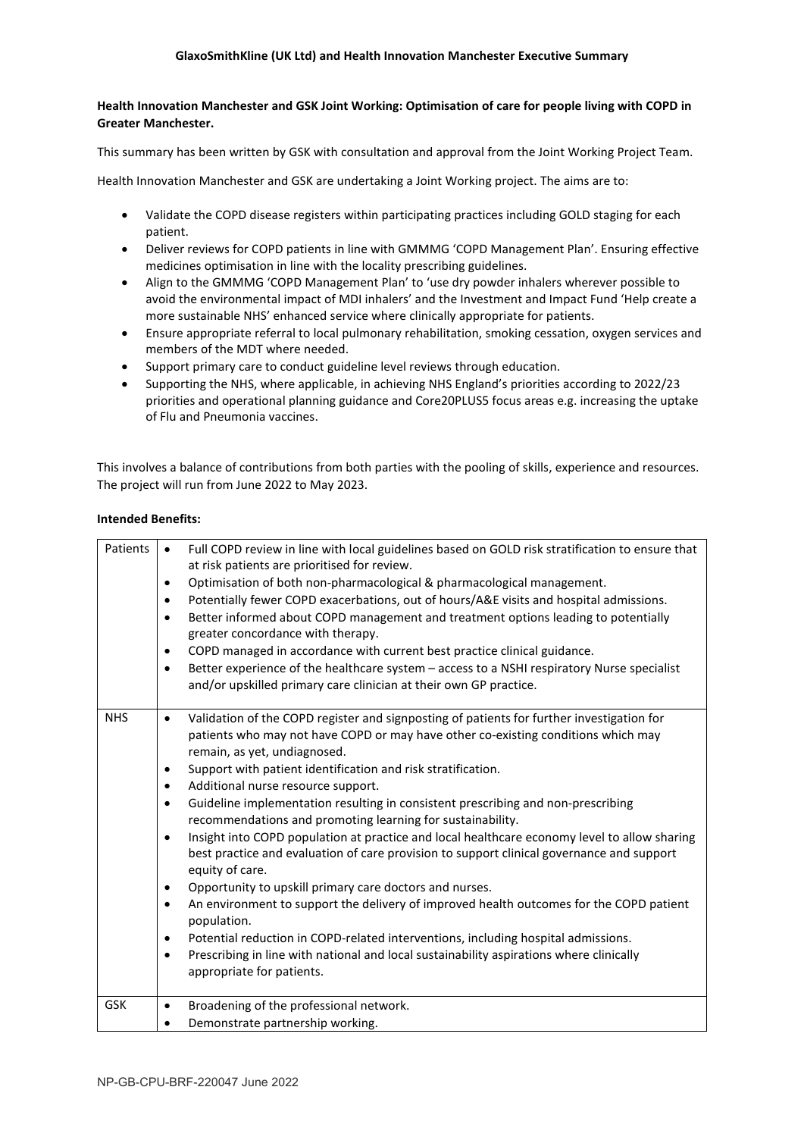## **Health Innovation Manchester and GSK Joint Working: Optimisation of care for people living with COPD in Greater Manchester.**

This summary has been written by GSK with consultation and approval from the Joint Working Project Team.

Health Innovation Manchester and GSK are undertaking a Joint Working project. The aims are to:

- Validate the COPD disease registers within participating practices including GOLD staging for each patient.
- Deliver reviews for COPD patients in line with GMMMG 'COPD Management Plan'. Ensuring effective medicines optimisation in line with the locality prescribing guidelines.
- Align to the GMMMG 'COPD Management Plan' to 'use dry powder inhalers wherever possible to avoid the environmental impact of MDI inhalers' and the Investment and Impact Fund 'Help create a more sustainable NHS' enhanced service where clinically appropriate for patients.
- Ensure appropriate referral to local pulmonary rehabilitation, smoking cessation, oxygen services and members of the MDT where needed.
- Support primary care to conduct guideline level reviews through education.
- Supporting the NHS, where applicable, in achieving NHS England's priorities according to 2022/23 priorities and operational planning guidance and Core20PLUS5 focus areas e.g. increasing the uptake of Flu and Pneumonia vaccines.

This involves a balance of contributions from both parties with the pooling of skills, experience and resources. The project will run from June 2022 to May 2023.

## **Intended Benefits:**

| Patients   | Full COPD review in line with local guidelines based on GOLD risk stratification to ensure that<br>$\bullet$<br>at risk patients are prioritised for review.<br>Optimisation of both non-pharmacological & pharmacological management.<br>Potentially fewer COPD exacerbations, out of hours/A&E visits and hospital admissions.<br>Better informed about COPD management and treatment options leading to potentially<br>$\bullet$<br>greater concordance with therapy.<br>COPD managed in accordance with current best practice clinical guidance.<br>Better experience of the healthcare system - access to a NSHI respiratory Nurse specialist<br>$\bullet$<br>and/or upskilled primary care clinician at their own GP practice.                                                                                                                                                                                                                                                                                                                                                                                                                                             |
|------------|----------------------------------------------------------------------------------------------------------------------------------------------------------------------------------------------------------------------------------------------------------------------------------------------------------------------------------------------------------------------------------------------------------------------------------------------------------------------------------------------------------------------------------------------------------------------------------------------------------------------------------------------------------------------------------------------------------------------------------------------------------------------------------------------------------------------------------------------------------------------------------------------------------------------------------------------------------------------------------------------------------------------------------------------------------------------------------------------------------------------------------------------------------------------------------|
| <b>NHS</b> | Validation of the COPD register and signposting of patients for further investigation for<br>$\bullet$<br>patients who may not have COPD or may have other co-existing conditions which may<br>remain, as yet, undiagnosed.<br>Support with patient identification and risk stratification.<br>Additional nurse resource support.<br>$\bullet$<br>Guideline implementation resulting in consistent prescribing and non-prescribing<br>$\bullet$<br>recommendations and promoting learning for sustainability.<br>Insight into COPD population at practice and local healthcare economy level to allow sharing<br>$\bullet$<br>best practice and evaluation of care provision to support clinical governance and support<br>equity of care.<br>Opportunity to upskill primary care doctors and nurses.<br>$\bullet$<br>An environment to support the delivery of improved health outcomes for the COPD patient<br>$\bullet$<br>population.<br>Potential reduction in COPD-related interventions, including hospital admissions.<br>$\bullet$<br>Prescribing in line with national and local sustainability aspirations where clinically<br>$\bullet$<br>appropriate for patients. |
| <b>GSK</b> | Broadening of the professional network.<br>$\bullet$<br>Demonstrate partnership working.                                                                                                                                                                                                                                                                                                                                                                                                                                                                                                                                                                                                                                                                                                                                                                                                                                                                                                                                                                                                                                                                                         |